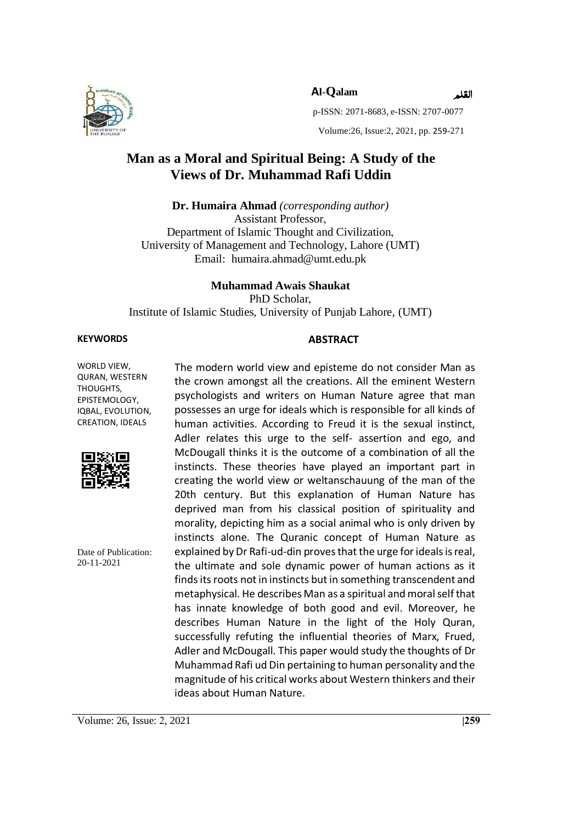

 **Al-Qalam**

القلم

p-ISSN: 2071-8683, e-ISSN: 2707-0077

Volume:26, Issue:2, 2021, pp. 259-271

## **Man as a Moral and Spiritual Being: A Study of the Views of Dr. Muhammad Rafi Uddin**

**Dr. Humaira Ahmad** *(corresponding author)* Assistant Professor, Department of Islamic Thought and Civilization, University of Management and Technology, Lahore (UMT) Email: humaira.ahmad@umt.edu.pk

#### **Muhammad Awais Shaukat**

PhD Scholar.

Institute of Islamic Studies, University of Punjab Lahore, (UMT)

#### **KEYWORDS ABSTRACT**

WORLD VIEW, QURAN, WESTERN THOUGHTS, EPISTEMOLOGY, IQBAL, EVOLUTION, CREATION, IDEALS



Date of Publication: 20-11-2021

The modern world view and episteme do not consider Man as the crown amongst all the creations. All the eminent Western psychologists and writers on Human Nature agree that man possesses an urge for ideals which is responsible for all kinds of human activities. According to Freud it is the sexual instinct, Adler relates this urge to the self- assertion and ego, and McDougall thinks it is the outcome of a combination of all the instincts. These theories have played an important part in creating the world view or weltanschauung of the man of the 20th century. But this explanation of Human Nature has deprived man from his classical position of spirituality and morality, depicting him as a social animal who is only driven by instincts alone. The Quranic concept of Human Nature as explained by Dr Rafi-ud-din proves that the urge for ideals is real, the ultimate and sole dynamic power of human actions as it finds its roots not in instincts but in something transcendent and metaphysical. He describes Man as a spiritual and moral self that has innate knowledge of both good and evil. Moreover, he describes Human Nature in the light of the Holy Quran, successfully refuting the influential theories of Marx, Frued, Adler and McDougall. This paper would study the thoughts of Dr Muhammad Rafi ud Din pertaining to human personality and the magnitude of his critical works about Western thinkers and their ideas about Human Nature.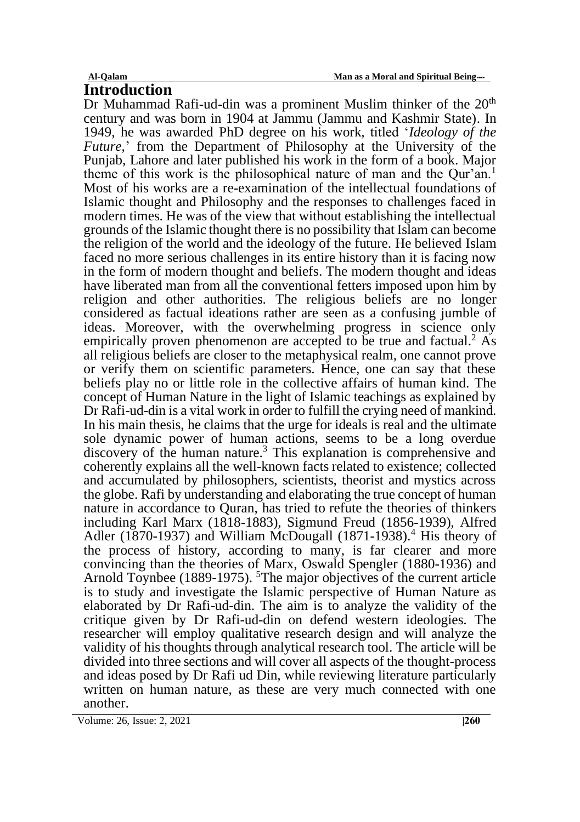**Introduction**

Dr Muhammad Rafi-ud-din was a prominent Muslim thinker of the  $20<sup>th</sup>$ century and was born in 1904 at Jammu (Jammu and Kashmir State). In 1949, he was awarded PhD degree on his work, titled '*Ideology of the Future*,' from the Department of Philosophy at the University of the Punjab, Lahore and later published his work in the form of a book. Major theme of this work is the philosophical nature of man and the Our'an.<sup>1</sup> Most of his works are a re-examination of the intellectual foundations of Islamic thought and Philosophy and the responses to challenges faced in modern times. He was of the view that without establishing the intellectual grounds of the Islamic thought there is no possibility that Islam can become the religion of the world and the ideology of the future. He believed Islam faced no more serious challenges in its entire history than it is facing now in the form of modern thought and beliefs. The modern thought and ideas have liberated man from all the conventional fetters imposed upon him by religion and other authorities. The religious beliefs are no longer considered as factual ideations rather are seen as a confusing jumble of ideas. Moreover, with the overwhelming progress in science only empirically proven phenomenon are accepted to be true and factual.<sup>2</sup> As all religious beliefs are closer to the metaphysical realm, one cannot prove or verify them on scientific parameters. Hence, one can say that these beliefs play no or little role in the collective affairs of human kind. The concept of Human Nature in the light of Islamic teachings as explained by Dr Rafi-ud-din is a vital work in order to fulfill the crying need of mankind. In his main thesis, he claims that the urge for ideals is real and the ultimate sole dynamic power of human actions, seems to be a long overdue discovery of the human nature.<sup>3</sup> This explanation is comprehensive and coherently explains all the well-known facts related to existence; collected and accumulated by philosophers, scientists, theorist and mystics across the globe. Rafi by understanding and elaborating the true concept of human nature in accordance to Quran, has tried to refute the theories of thinkers including Karl Marx (1818-1883), Sigmund Freud (1856-1939), Alfred Adler (1870-1937) and William McDougall (1871-1938).<sup>4</sup> His theory of the process of history, according to many, is far clearer and more convincing than the theories of Marx, Oswald Spengler (1880-1936) and Arnold Toynbee (1889-1975). The major objectives of the current article is to study and investigate the Islamic perspective of Human Nature as elaborated by Dr Rafi-ud-din. The aim is to analyze the validity of the critique given by Dr Rafi-ud-din on defend western ideologies. The researcher will employ qualitative research design and will analyze the validity of his thoughts through analytical research tool. The article will be divided into three sections and will cover all aspects of the thought-process and ideas posed by Dr Rafi ud Din, while reviewing literature particularly written on human nature, as these are very much connected with one another.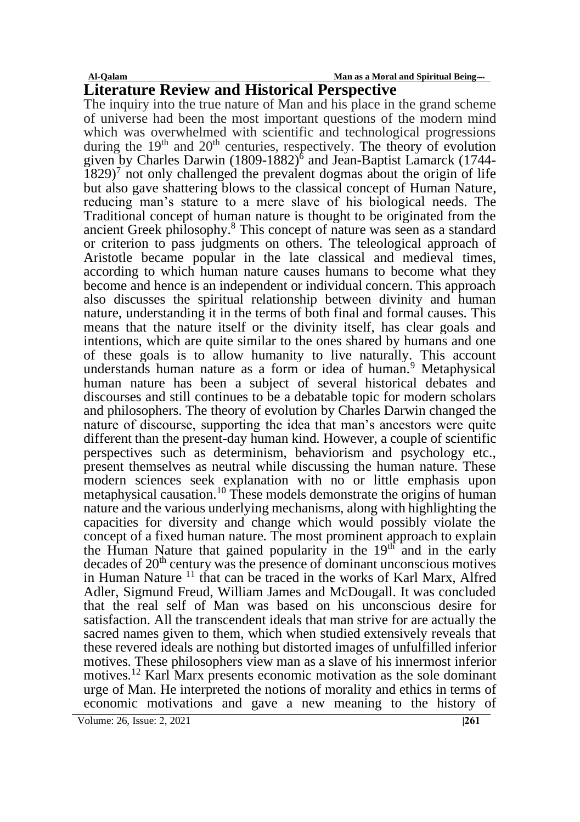**Al-Qalam Man as a Moral and Spiritual Being ۔۔۔۔**

# **Literature Review and Historical Perspective**

The inquiry into the true nature of Man and his place in the grand scheme of universe had been the most important questions of the modern mind which was overwhelmed with scientific and technological progressions during the  $19<sup>th</sup>$  and  $20<sup>th</sup>$  centuries, respectively. The theory of evolution given by Charles Darwin (1809-1882)<sup>6</sup> and Jean-Baptist Lamarck (1744- $1829$ <sup>7</sup> not only challenged the prevalent dogmas about the origin of life but also gave shattering blows to the classical concept of Human Nature, reducing man's stature to a mere slave of his biological needs. The Traditional concept of human nature is thought to be originated from the ancient Greek philosophy.<sup>8</sup> This concept of nature was seen as a standard or criterion to pass judgments on others. The teleological approach of Aristotle became popular in the late classical and medieval times, according to which human nature causes humans to become what they become and hence is an independent or individual concern. This approach also discusses the spiritual relationship between divinity and human nature, understanding it in the terms of both final and formal causes. This means that the nature itself or the divinity itself, has clear goals and intentions, which are quite similar to the ones shared by humans and one of these goals is to allow humanity to live naturally. This account understands human nature as a form or idea of human.<sup>9</sup> Metaphysical human nature has been a subject of several historical debates and discourses and still continues to be a debatable topic for modern scholars and philosophers. The theory of evolution by Charles Darwin changed the nature of discourse, supporting the idea that man's ancestors were quite different than the present-day human kind. However, a couple of scientific perspectives such as determinism, behaviorism and psychology etc., present themselves as neutral while discussing the human nature. These modern sciences seek explanation with no or little emphasis upon metaphysical causation. <sup>10</sup> These models demonstrate the origins of human nature and the various underlying mechanisms, along with highlighting the capacities for diversity and change which would possibly violate the concept of a fixed human nature. The most prominent approach to explain the Human Nature that gained popularity in the  $19<sup>th</sup>$  and in the early decades of 20th century was the presence of dominant unconscious motives in Human Nature <sup>11</sup> that can be traced in the works of Karl Marx, Alfred Adler, Sigmund Freud, William James and McDougall. It was concluded that the real self of Man was based on his unconscious desire for satisfaction. All the transcendent ideals that man strive for are actually the sacred names given to them, which when studied extensively reveals that these revered ideals are nothing but distorted images of unfulfilled inferior motives. These philosophers view man as a slave of his innermost inferior motives.<sup>12</sup> Karl Marx presents economic motivation as the sole dominant urge of Man. He interpreted the notions of morality and ethics in terms of economic motivations and gave a new meaning to the history of

Volume: 26, Issue: 2, 2021 **|261** | 261 | 262 | 262 | 262 | 262 | 263 | 276 | 276 | 276 | 276 | 276 | 276 | 276 | 276 | 276 | 276 | 276 | 276 | 276 | 276 | 276 | 276 | 276 | 276 | 276 | 277 | 277 | 277 | 277 | 277 | 277 |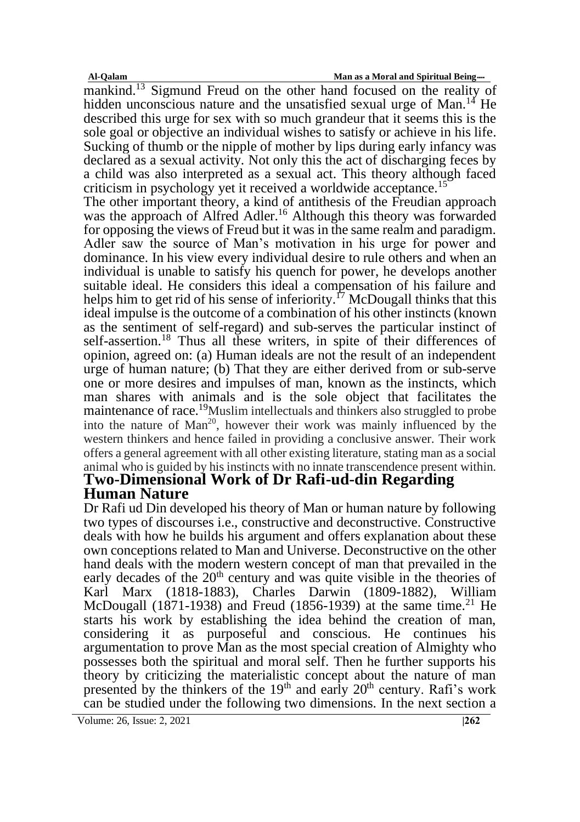mankind.<sup>13</sup> Sigmund Freud on the other hand focused on the reality of hidden unconscious nature and the unsatisfied sexual urge of Man.<sup>14</sup> He described this urge for sex with so much grandeur that it seems this is the sole goal or objective an individual wishes to satisfy or achieve in his life. Sucking of thumb or the nipple of mother by lips during early infancy was declared as a sexual activity. Not only this the act of discharging feces by a child was also interpreted as a sexual act. This theory although faced criticism in psychology yet it received a worldwide acceptance.<sup>15</sup>

The other important theory, a kind of antithesis of the Freudian approach was the approach of Alfred Adler.<sup>16</sup> Although this theory was forwarded for opposing the views of Freud but it was in the same realm and paradigm. Adler saw the source of Man's motivation in his urge for power and dominance. In his view every individual desire to rule others and when an individual is unable to satisfy his quench for power, he develops another suitable ideal. He considers this ideal a compensation of his failure and helps him to get rid of his sense of inferiority.<sup>17</sup> McDougall thinks that this ideal impulse is the outcome of a combination of his other instincts (known as the sentiment of self-regard) and sub-serves the particular instinct of self-assertion.<sup>18</sup> Thus all these writers, in spite of their differences of opinion, agreed on: (a) Human ideals are not the result of an independent urge of human nature; (b) That they are either derived from or sub-serve one or more desires and impulses of man, known as the instincts, which man shares with animals and is the sole object that facilitates the maintenance of race.<sup>19</sup>Muslim intellectuals and thinkers also struggled to probe into the nature of  $Man^{20}$ , however their work was mainly influenced by the western thinkers and hence failed in providing a conclusive answer. Their work offers a general agreement with all other existing literature, stating man as a social animal who is guided by his instincts with no innate transcendence present within. **Two-Dimensional Work of Dr Rafi-ud-din Regarding** 

# **Human Nature**

Dr Rafi ud Din developed his theory of Man or human nature by following two types of discourses i.e., constructive and deconstructive. Constructive deals with how he builds his argument and offers explanation about these own conceptions related to Man and Universe. Deconstructive on the other hand deals with the modern western concept of man that prevailed in the early decades of the  $20<sup>th</sup>$  century and was quite visible in the theories of Karl Marx (1818-1883), Charles Darwin (1809-1882), William McDougall (1871-1938) and Freud (1856-1939) at the same time.<sup>21</sup> He starts his work by establishing the idea behind the creation of man, considering it as purposeful and conscious. He continues his argumentation to prove Man as the most special creation of Almighty who possesses both the spiritual and moral self. Then he further supports his theory by criticizing the materialistic concept about the nature of man presented by the thinkers of the  $19<sup>th</sup>$  and early  $20<sup>th</sup>$  century. Rafi's work can be studied under the following two dimensions. In the next section a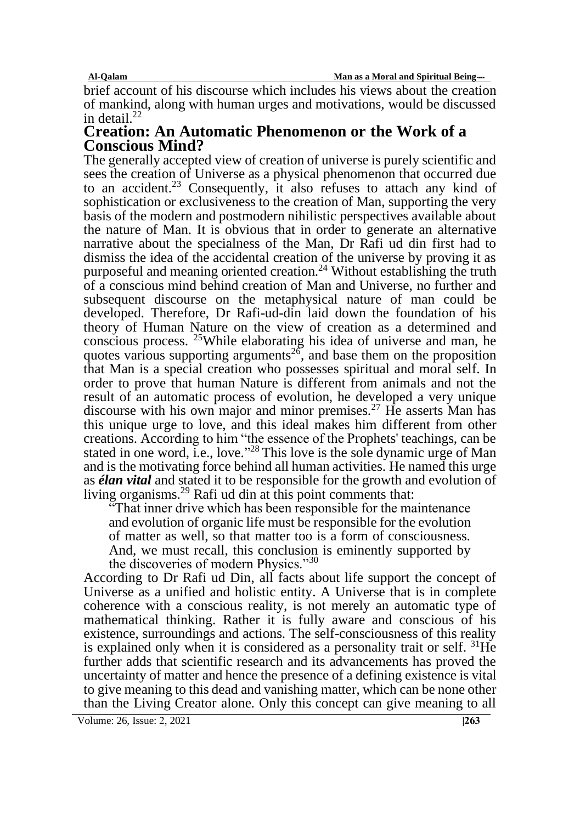**Al-Qalam Man as a Moral and Spiritual Being ۔۔۔۔**

brief account of his discourse which includes his views about the creation of mankind, along with human urges and motivations, would be discussed in detail. $^{22}$ 

### **Creation: An Automatic Phenomenon or the Work of a Conscious Mind?**

The generally accepted view of creation of universe is purely scientific and sees the creation of Universe as a physical phenomenon that occurred due to an accident.<sup>23</sup> Consequently, it also refuses to attach any kind of sophistication or exclusiveness to the creation of Man, supporting the very basis of the modern and postmodern nihilistic perspectives available about the nature of Man. It is obvious that in order to generate an alternative narrative about the specialness of the Man, Dr Rafi ud din first had to dismiss the idea of the accidental creation of the universe by proving it as purposeful and meaning oriented creation.<sup>24</sup> Without establishing the truth of a conscious mind behind creation of Man and Universe, no further and subsequent discourse on the metaphysical nature of man could be developed. Therefore, Dr Rafi-ud-din laid down the foundation of his theory of Human Nature on the view of creation as a determined and conscious process. <sup>25</sup>While elaborating his idea of universe and man, he quotes various supporting arguments<sup>26</sup>, and base them on the proposition that Man is a special creation who possesses spiritual and moral self. In order to prove that human Nature is different from animals and not the result of an automatic process of evolution, he developed a very unique discourse with his own major and minor premises.<sup>27</sup> He asserts Man has this unique urge to love, and this ideal makes him different from other creations. According to him "the essence of the Prophets' teachings, can be stated in one word, i.e., love."<sup>28</sup> This love is the sole dynamic urge of Man and is the motivating force behind all human activities. He named this urge as *élan vital* and stated it to be responsible for the growth and evolution of living organisms.<sup>29</sup> Rafi ud din at this point comments that:

"That inner drive which has been responsible for the maintenance and evolution of organic life must be responsible for the evolution of matter as well, so that matter too is a form of consciousness. And, we must recall, this conclusion is eminently supported by the discoveries of modern Physics."<sup>30</sup>

According to Dr Rafi ud Din, all facts about life support the concept of Universe as a unified and holistic entity. A Universe that is in complete coherence with a conscious reality, is not merely an automatic type of mathematical thinking. Rather it is fully aware and conscious of his existence, surroundings and actions. The self-consciousness of this reality is explained only when it is considered as a personality trait or self. <sup>31</sup>He further adds that scientific research and its advancements has proved the uncertainty of matter and hence the presence of a defining existence is vital to give meaning to this dead and vanishing matter, which can be none other than the Living Creator alone. Only this concept can give meaning to all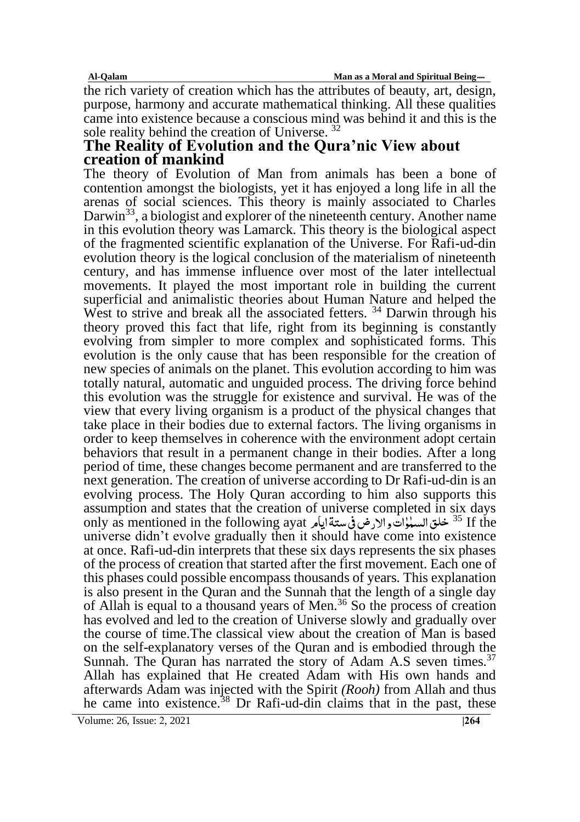**Al-Qalam Man as a Moral and Spiritual Being ۔۔۔۔**

the rich variety of creation which has the attributes of beauty, art, design, purpose, harmony and accurate mathematical thinking. All these qualities came into existence because a conscious mind was behind it and this is the sole reality behind the creation of Universe. <sup>32</sup>

## **The Reality of Evolution and the Qura'nic View about creation of mankind**

The theory of Evolution of Man from animals has been a bone of contention amongst the biologists, yet it has enjoyed a long life in all the arenas of social sciences. This theory is mainly associated to Charles Darwin<sup>33</sup>, a biologist and explorer of the nineteenth century. Another name in this evolution theory was Lamarck. This theory is the biological aspect of the fragmented scientific explanation of the Universe. For Rafi-ud-din evolution theory is the logical conclusion of the materialism of nineteenth century, and has immense influence over most of the later intellectual movements. It played the most important role in building the current superficial and animalistic theories about Human Nature and helped the West to strive and break all the associated fetters.<sup>34</sup> Darwin through his theory proved this fact that life, right from its beginning is constantly evolving from simpler to more complex and sophisticated forms. This evolution is the only cause that has been responsible for the creation of new species of animals on the planet. This evolution according to him was totally natural, automatic and unguided process. The driving force behind this evolution was the struggle for existence and survival. He was of the view that every living organism is a product of the physical changes that take place in their bodies due to external factors. The living organisms in order to keep themselves in coherence with the environment adopt certain behaviors that result in a permanent change in their bodies. After a long period of time, these changes become permanent and are transferred to the next generation. The creation of universe according to Dr Rafi-ud-din is an evolving process. The Holy Quran according to him also supports this assumption and states that the creation of universe completed in six days only as mentioned in the following ayat خلقالسملوات والارض في ستة ايامر $^{\rm 35}$  If the ؚ<br>ׇ**֚** ٰ universe didn't evolve gradually then it should have come into existence at once. Rafi-ud-din interprets that these six days represents the six phases of the process of creation that started after the first movement. Each one of this phases could possible encompass thousands of years. This explanation is also present in the Quran and the Sunnah that the length of a single day of Allah is equal to a thousand years of Men.<sup>36</sup> So the process of creation has evolved and led to the creation of Universe slowly and gradually over the course of time.The classical view about the creation of Man is based on the self-explanatory verses of the Quran and is embodied through the Sunnah. The Quran has narrated the story of Adam A.S seven times.<sup>37</sup> Allah has explained that He created Adam with His own hands and afterwards Adam was injected with the Spirit *(Rooh)* from Allah and thus he came into existence.<sup>38</sup> Dr Rafi-ud-din claims that in the past, these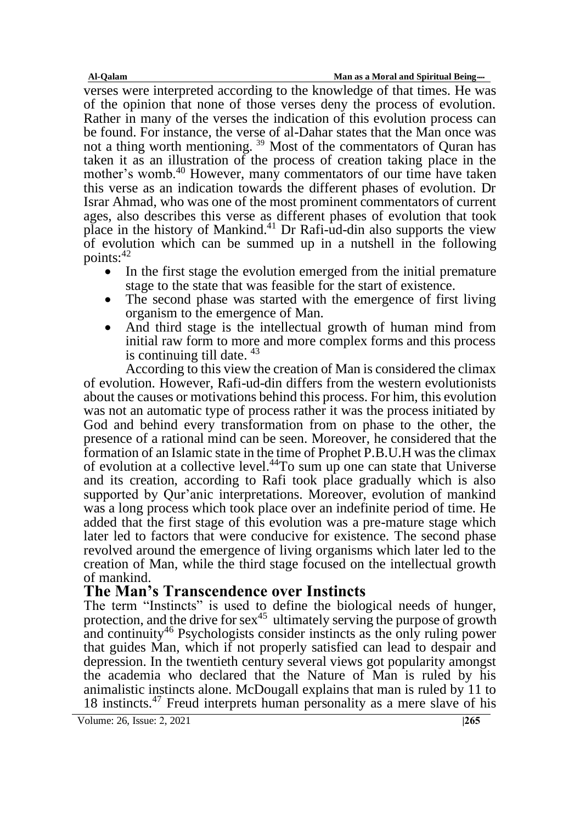verses were interpreted according to the knowledge of that times. He was of the opinion that none of those verses deny the process of evolution. Rather in many of the verses the indication of this evolution process can be found. For instance, the verse of al-Dahar states that the Man once was not a thing worth mentioning. <sup>39</sup> Most of the commentators of Quran has taken it as an illustration of the process of creation taking place in the mother's womb.<sup>40</sup> However, many commentators of our time have taken this verse as an indication towards the different phases of evolution. Dr Israr Ahmad, who was one of the most prominent commentators of current ages, also describes this verse as different phases of evolution that took place in the history of Mankind. <sup>41</sup> Dr Rafi-ud-din also supports the view of evolution which can be summed up in a nutshell in the following points: $42$ 

- In the first stage the evolution emerged from the initial premature stage to the state that was feasible for the start of existence.
- The second phase was started with the emergence of first living organism to the emergence of Man.
- And third stage is the intellectual growth of human mind from initial raw form to more and more complex forms and this process is continuing till date. <sup>43</sup>

According to this view the creation of Man is considered the climax of evolution. However, Rafi-ud-din differs from the western evolutionists about the causes or motivations behind this process. For him, this evolution was not an automatic type of process rather it was the process initiated by God and behind every transformation from on phase to the other, the presence of a rational mind can be seen. Moreover, he considered that the formation of an Islamic state in the time of Prophet P.B.U.H was the climax of evolution at a collective level.<sup>44</sup>To sum up one can state that Universe and its creation, according to Rafi took place gradually which is also supported by Qur'anic interpretations. Moreover, evolution of mankind was a long process which took place over an indefinite period of time. He added that the first stage of this evolution was a pre-mature stage which later led to factors that were conducive for existence. The second phase revolved around the emergence of living organisms which later led to the creation of Man, while the third stage focused on the intellectual growth of mankind.

# **The Man's Transcendence over Instincts**

The term "Instincts" is used to define the biological needs of hunger, protection, and the drive for  $sex^{45}$  ultimately serving the purpose of growth and continuity<sup>46</sup> Psychologists consider instincts as the only ruling power that guides Man, which if not properly satisfied can lead to despair and depression. In the twentieth century several views got popularity amongst the academia who declared that the Nature of Man is ruled by his animalistic instincts alone. McDougall explains that man is ruled by 11 to 18 instincts.<sup>47</sup> Freud interprets human personality as a mere slave of his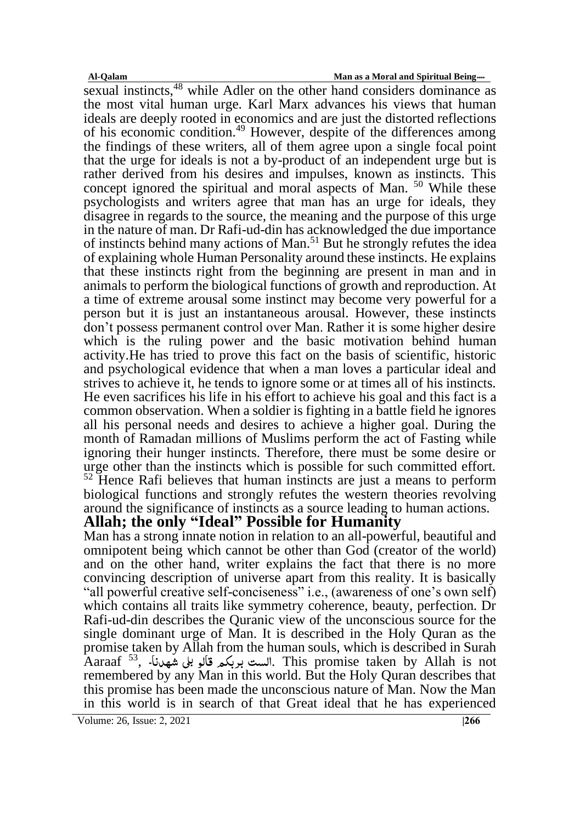sexual instincts,<sup>48</sup> while Adler on the other hand considers dominance as the most vital human urge. Karl Marx advances his views that human ideals are deeply rooted in economics and are just the distorted reflections of his economic condition.<sup>49</sup> However, despite of the differences among the findings of these writers, all of them agree upon a single focal point that the urge for ideals is not a by-product of an independent urge but is rather derived from his desires and impulses, known as instincts. This concept ignored the spiritual and moral aspects of Man. <sup>50</sup> While these psychologists and writers agree that man has an urge for ideals, they disagree in regards to the source, the meaning and the purpose of this urge in the nature of man. Dr Rafi-ud-din has acknowledged the due importance of instincts behind many actions of Man.<sup>51</sup> But he strongly refutes the idea of explaining whole Human Personality around these instincts. He explains that these instincts right from the beginning are present in man and in animals to perform the biological functions of growth and reproduction. At a time of extreme arousal some instinct may become very powerful for a person but it is just an instantaneous arousal. However, these instincts don't possess permanent control over Man. Rather it is some higher desire which is the ruling power and the basic motivation behind human activity.He has tried to prove this fact on the basis of scientific, historic and psychological evidence that when a man loves a particular ideal and strives to achieve it, he tends to ignore some or at times all of his instincts. He even sacrifices his life in his effort to achieve his goal and this fact is a common observation. When a soldier is fighting in a battle field he ignores all his personal needs and desires to achieve a higher goal. During the month of Ramadan millions of Muslims perform the act of Fasting while ignoring their hunger instincts. Therefore, there must be some desire or urge other than the instincts which is possible for such committed effort.  $52$  Hence Rafi believes that human instincts are just a means to perform biological functions and strongly refutes the western theories revolving around the significance of instincts as a source leading to human actions.

# **Allah; the only "Ideal" Possible for Humanity**

Man has a strong innate notion in relation to an all-powerful, beautiful and omnipotent being which cannot be other than God (creator of the world) and on the other hand, writer explains the fact that there is no more convincing description of universe apart from this reality. It is basically "all powerful creative self-conciseness" i.e., (awareness of one's own self) which contains all traits like symmetry coherence, beauty, perfection. Dr Rafi-ud-din describes the Quranic view of the unconscious source for the single dominant urge of Man. It is described in the Holy Quran as the promise taken by Allah from the human souls, which is described in Surah  $\rm A\rm{araaf}$  لست بربکہ قالو بلی شمہرنا۔ This promise taken by Allah is not remembered by any Man in this world. But the Holy Quran describes that this promise has been made the unconscious nature of Man. Now the Man in this world is in search of that Great ideal that he has experienced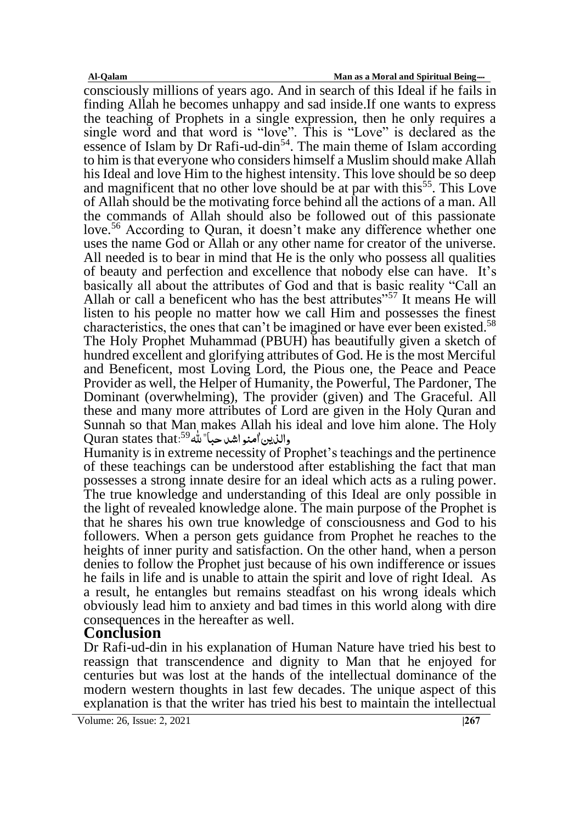consciously millions of years ago. And in search of this Ideal if he fails in finding Allah he becomes unhappy and sad inside.If one wants to express the teaching of Prophets in a single expression, then he only requires a single word and that word is "love". This is "Love" is declared as the essence of Islam by Dr Rafi-ud-din<sup>54</sup>. The main theme of Islam according to him is that everyone who considers himself a Muslim should make Allah his Ideal and love Him to the highest intensity. This love should be so deep and magnificent that no other love should be at par with this<sup>55</sup>. This Love of Allah should be the motivating force behind all the actions of a man. All the commands of Allah should also be followed out of this passionate love.<sup>56</sup> According to Ouran, it doesn't make any difference whether one uses the name God or Allah or any other name for creator of the universe. All needed is to bear in mind that He is the only who possess all qualities of beauty and perfection and excellence that nobody else can have. It's basically all about the attributes of God and that is basic reality "Call an Allah or call a beneficent who has the best attributes<sup>"57</sup> It means He will listen to his people no matter how we call Him and possesses the finest characteristics, the ones that can't be imagined or have ever been existed.<sup>58</sup> The Holy Prophet Muhammad (PBUH) has beautifully given a sketch of hundred excellent and glorifying attributes of God. He is the most Merciful and Beneficent, most Loving Lord, the Pious one, the Peace and Peace Provider as well, the Helper of Humanity, the Powerful, The Pardoner, The Dominant (overwhelming), The provider (given) and The Graceful. All these and many more attributes of Lord are given in the Holy Quran and Sunnah so that Man makes Allah his ideal and love him alone. The Holy والذین'امنو اشدحبا" لله<sup>59</sup>.Quran states that

Humanity is in extreme necessity of Prophet's teachings and the pertinence of these teachings can be understood after establishing the fact that man possesses a strong innate desire for an ideal which acts as a ruling power. The true knowledge and understanding of this Ideal are only possible in the light of revealed knowledge alone. The main purpose of the Prophet is that he shares his own true knowledge of consciousness and God to his followers. When a person gets guidance from Prophet he reaches to the heights of inner purity and satisfaction. On the other hand, when a person denies to follow the Prophet just because of his own indifference or issues he fails in life and is unable to attain the spirit and love of right Ideal. As a result, he entangles but remains steadfast on his wrong ideals which obviously lead him to anxiety and bad times in this world along with dire consequences in the hereafter as well.

### **Conclusion**

Dr Rafi-ud-din in his explanation of Human Nature have tried his best to reassign that transcendence and dignity to Man that he enjoyed for centuries but was lost at the hands of the intellectual dominance of the modern western thoughts in last few decades. The unique aspect of this explanation is that the writer has tried his best to maintain the intellectual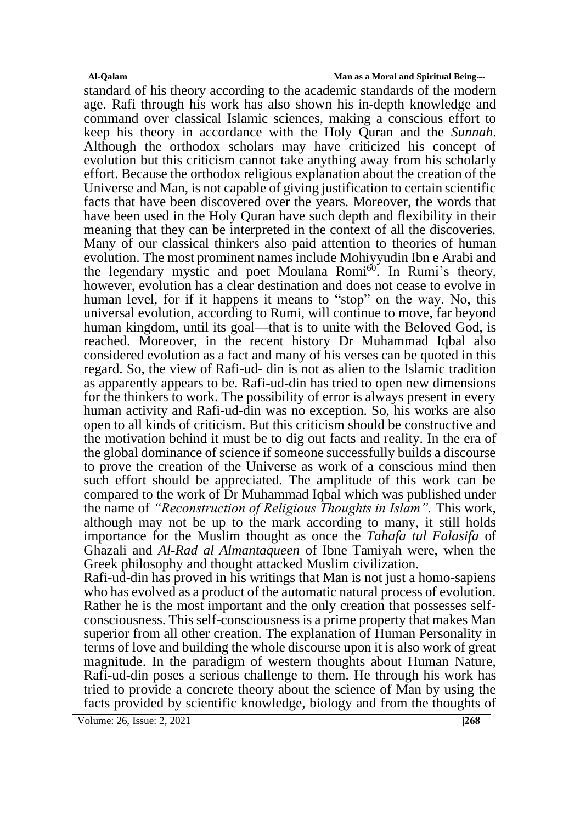standard of his theory according to the academic standards of the modern age. Rafi through his work has also shown his in-depth knowledge and command over classical Islamic sciences, making a conscious effort to keep his theory in accordance with the Holy Quran and the *Sunnah*. Although the orthodox scholars may have criticized his concept of evolution but this criticism cannot take anything away from his scholarly effort. Because the orthodox religious explanation about the creation of the Universe and Man, is not capable of giving justification to certain scientific facts that have been discovered over the years. Moreover, the words that have been used in the Holy Quran have such depth and flexibility in their meaning that they can be interpreted in the context of all the discoveries. Many of our classical thinkers also paid attention to theories of human evolution. The most prominent names include Mohiyyudin Ibn e Arabi and the legendary mystic and poet Moulana Romi<sup>60</sup>. In Rumi's theory, however, evolution has a clear destination and does not cease to evolve in human level, for if it happens it means to "stop" on the way. No, this universal evolution, according to Rumi, will continue to move, far beyond human kingdom, until its goal—that is to unite with the Beloved God, is reached. Moreover, in the recent history Dr Muhammad Iqbal also considered evolution as a fact and many of his verses can be quoted in this regard. So, the view of Rafi-ud- din is not as alien to the Islamic tradition as apparently appears to be. Rafi-ud-din has tried to open new dimensions for the thinkers to work. The possibility of error is always present in every human activity and Rafi-ud-din was no exception. So, his works are also open to all kinds of criticism. But this criticism should be constructive and the motivation behind it must be to dig out facts and reality. In the era of the global dominance of science if someone successfully builds a discourse to prove the creation of the Universe as work of a conscious mind then such effort should be appreciated. The amplitude of this work can be compared to the work of Dr Muhammad Iqbal which was published under the name of *"Reconstruction of Religious Thoughts in Islam".* This work, although may not be up to the mark according to many, it still holds importance for the Muslim thought as once the *Tahafa tul Falasifa* of Ghazali and *Al-Rad al Almantaqueen* of Ibne Tamiyah were, when the Greek philosophy and thought attacked Muslim civilization.

Rafi-ud-din has proved in his writings that Man is not just a homo-sapiens who has evolved as a product of the automatic natural process of evolution. Rather he is the most important and the only creation that possesses selfconsciousness. This self-consciousness is a prime property that makes Man superior from all other creation. The explanation of Human Personality in terms of love and building the whole discourse upon it is also work of great magnitude. In the paradigm of western thoughts about Human Nature, Rafi-ud-din poses a serious challenge to them. He through his work has tried to provide a concrete theory about the science of Man by using the facts provided by scientific knowledge, biology and from the thoughts of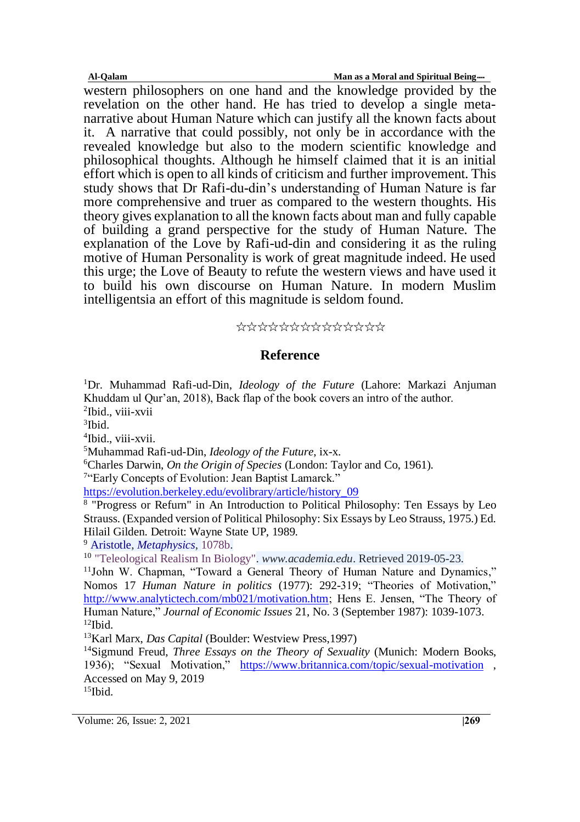western philosophers on one hand and the knowledge provided by the revelation on the other hand. He has tried to develop a single metanarrative about Human Nature which can justify all the known facts about it. A narrative that could possibly, not only be in accordance with the revealed knowledge but also to the modern scientific knowledge and philosophical thoughts. Although he himself claimed that it is an initial effort which is open to all kinds of criticism and further improvement. This study shows that Dr Rafi-du-din's understanding of Human Nature is far more comprehensive and truer as compared to the western thoughts. His theory gives explanation to all the known facts about man and fully capable of building a grand perspective for the study of Human Nature. The explanation of the Love by Rafi-ud-din and considering it as the ruling motive of Human Personality is work of great magnitude indeed. He used this urge; the Love of Beauty to refute the western views and have used it to build his own discourse on Human Nature. In modern Muslim intelligentsia an effort of this magnitude is seldom found.

#### ٭٭٭٭٭٭٭٭٭٭٭٭٭٭

#### **Reference**

<sup>1</sup>Dr. Muhammad Rafi-ud-Din, *Ideology of the Future* (Lahore: Markazi Anjuman Khuddam ul Qur'an, 2018), Back flap of the book covers an intro of the author. 2 Ibid., viii-xvii

3 Ibid.

4 Ibid., viii-xvii.

<sup>5</sup>Muhammad Rafi-ud-Din, *Ideology of the Future*, ix-x.

<sup>6</sup>Charles Darwin, *On the Origin of Species* (London: Taylor and Co, 1961).

<sup>7"</sup>Early Concepts of Evolution: Jean Baptist Lamarck."

[https://evolution.berkeley.edu/evolibrary/article/history\\_09](https://evolution.berkeley.edu/evolibrary/article/history_09)

<sup>8</sup> "Progress or Refurn" in An Introduction to Political Philosophy: Ten Essays by Leo Strauss. (Expanded version of Political Philosophy: Six Essays by Leo Strauss, 1975.) Ed. Hilail Gilden. Detroit: Wayne State UP, 1989.

<sup>9</sup> [Aristotle,](https://en.wikipedia.org/wiki/Aristotle) *[Metaphysics](https://en.wikipedia.org/wiki/Metaphysics_(Aristotle))*, [1078b.](http://www.perseus.tufts.edu/hopper/text?doc=Perseus%3Atext%3A1999.01.0052%3Abook%3D13%3Asection%3D1078b)

<sup>10</sup> ["Teleological Realism In Biology".](https://www.academia.edu/6927336) *www.academia.edu*. Retrieved 2019-05-23.

<sup>11</sup>John W. Chapman, "Toward a General Theory of Human Nature and Dynamics," Nomos 17 *Human Nature in politics* (1977): 292-319; "Theories of Motivation," [http://www.analytictech.com/mb021/motivation.htm;](http://www.analytictech.com/mb021/motivation.htm) Hens E. Jensen, "The Theory of Human Nature," *Journal of Economic Issues* 21, No. 3 (September 1987): 1039-1073. <sup>12</sup>Ibid.

<sup>13</sup>Karl Marx, *Das Capital* (Boulder: Westview Press,1997)

<sup>14</sup>Sigmund Freud, *Three Essays on the Theory of Sexuality* (Munich: Modern Books, 1936); "Sexual Motivation," <https://www.britannica.com/topic/sexual-motivation> , Accessed on May 9, 2019

 $15$ Ibid.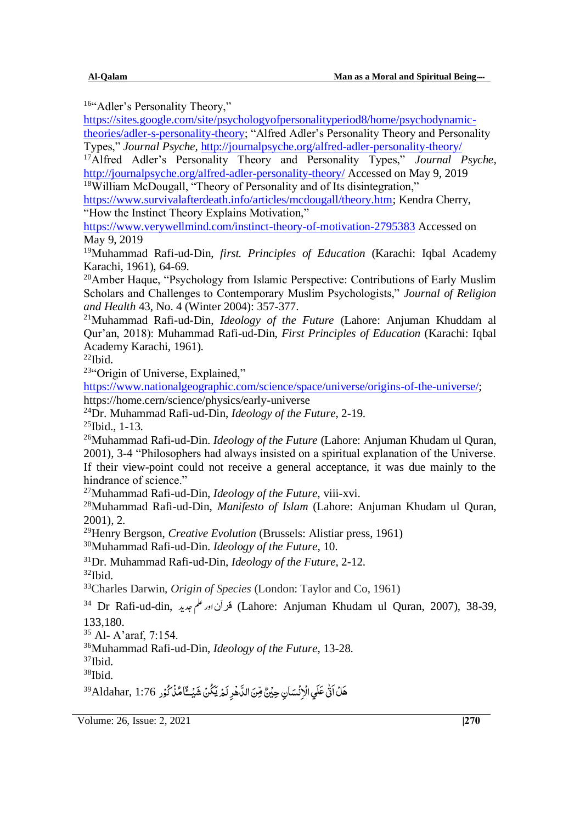<sup>16</sup>"Adler's Personality Theory,"

[https://sites.google.com/site/psychologyofpersonalityperiod8/home/psychodynamic](https://sites.google.com/site/psychologyofpersonalityperiod8/home/psychodynamic-theories/adler-s-personality-theory)[theories/adler-s-personality-theory;](https://sites.google.com/site/psychologyofpersonalityperiod8/home/psychodynamic-theories/adler-s-personality-theory) "Alfred Adler's Personality Theory and Personality Types," *Journal Psyche,* <http://journalpsyche.org/alfred-adler-personality-theory/>

<sup>17</sup>Alfred Adler's Personality Theory and Personality Types," *Journal Psyche,*  <http://journalpsyche.org/alfred-adler-personality-theory/> Accessed on May 9, 2019 <sup>18</sup>William McDougall, "Theory of Personality and of Its disintegration,"

[https://www.survivalafterdeath.info/articles/mcdougall/theory.htm;](https://www.survivalafterdeath.info/articles/mcdougall/theory.htm) Kendra Cherry, "How the Instinct Theory Explains Motivation,"

<https://www.verywellmind.com/instinct-theory-of-motivation-2795383> Accessed on May 9, 2019

<sup>19</sup>Muhammad Rafi-ud-Din, *first. Principles of Education* (Karachi: Iqbal Academy Karachi, 1961), 64-69.

<sup>20</sup>Amber Haque, "Psychology from Islamic Perspective: Contributions of Early Muslim Scholars and Challenges to Contemporary Muslim Psychologists," *Journal of Religion and Health* 43, No. 4 (Winter 2004): 357-377.

<sup>21</sup>Muhammad Rafi-ud-Din, *Ideology of the Future* (Lahore: Anjuman Khuddam al Qur'an, 2018): Muhammad Rafi-ud-Din, *First Principles of Education* (Karachi: Iqbal Academy Karachi, 1961).

 $22$ Ibid.

<sup>23</sup>"Origin of Universe, Explained,"

[https://www.nationalgeographic.com/science/space/universe/origins-of-the-universe/;](https://www.nationalgeographic.com/science/space/universe/origins-of-the-universe/) https://home.cern/science/physics/early-universe

<sup>24</sup>Dr. Muhammad Rafi-ud-Din, *Ideology of the Future*, 2-19.

 $25$ Ibid., 1-13.

<sup>26</sup>Muhammad Rafi-ud-Din. *Ideology of the Future* (Lahore: Anjuman Khudam ul Quran, 2001), 3-4 "Philosophers had always insisted on a spiritual explanation of the Universe. If their view-point could not receive a general acceptance, it was due mainly to the hindrance of science."

<sup>27</sup>Muhammad Rafi-ud-Din, *Ideology of the Future,* viii-xvi.

<sup>28</sup>Muhammad Rafi-ud-Din, *Manifesto of Islam* (Lahore: Anjuman Khudam ul Quran, 2001), 2.

<sup>29</sup>Henry Bergson, *Creative Evolution* (Brussels: Alistiar press, 1961)

<sup>30</sup>Muhammad Rafi-ud-Din. *Ideology of the Future*, 10.

<sup>31</sup>Dr. Muhammad Rafi-ud-Din, *Ideology of the Future*, 2-12.  $32$ Ibid.

<sup>33</sup>Charles Darwin, *Origin of Species* (London: Taylor and Co, 1961)

<sup>34</sup> Dr Rafi-ud-din, قرآن اور علم صديد (Lahore: Anjuman Khudam ul Quran, 2007), 38-39, 133,180.

<sup>35</sup> Al- A'araf, 7:154.

<sup>36</sup>Muhammad Rafi-ud-Din, *Ideology of the Future*, 13-28.

 $37$ Ibid.

<sup>38</sup>Ibid.

<sup>39</sup>Aldahar, 1:76 مَّذُ ٱنَّى عَلَي الْاِنْسَانِ حِيْنٌ مِّنَ الدَّهُرِ لَمْ يَكُنْ شَيْـــًّا مِّذْكُوْر ا ا